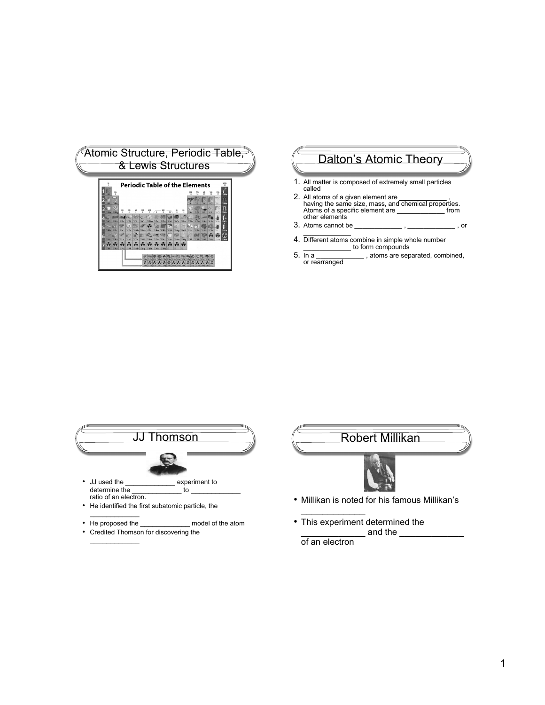|            |                 |             |            |                         |                 |                 |            | <b>Periodic Table of the Elements</b> |             |                        |                |            |                 |             |    |                    |    |
|------------|-----------------|-------------|------------|-------------------------|-----------------|-----------------|------------|---------------------------------------|-------------|------------------------|----------------|------------|-----------------|-------------|----|--------------------|----|
|            |                 |             |            |                         |                 |                 |            |                                       |             |                        |                |            |                 |             |    | 豐                  | й. |
|            |                 |             |            |                         |                 |                 |            |                                       |             |                        |                |            |                 |             | ۷O | $\mathbb{R}$ f     |    |
|            | "SMo            |             |            |                         |                 |                 |            |                                       |             | 쁚                      | 쁞              | <b>SAI</b> | $\approx$ Si    | <b>WP</b>   |    |                    |    |
|            |                 |             |            |                         |                 |                 |            |                                       |             |                        |                |            |                 |             |    | $\mathbb{Z}$ CI    |    |
|            | $5Ca$           | 125c        | 377        | <b>SIM</b>              | $\mathbb{Z}$ Cr | $\mathbb{R}$ Mn | $3Fe$      | <b>TiCo</b>                           | <b>SW</b>   | $\sqrt{2}$ Cu          | WZn            | $\pi$ Ga   | $\Xi$ Ge        | <b>IIAs</b> |    | $\frac{11}{11}$ Br |    |
| <b>SRb</b> |                 | <b>NX</b>   | .ó.<br>27  | ⋐<br>$II$ <sub>Nb</sub> | <b>SMo STC</b>  |                 |            | "iRu TRh                              | <b>TIPd</b> | ÷<br>$\overline{a}$ Aq | $\equiv$ Cd    | 310        | $\mathbb{Z}$ Sn | <b>WSb</b>  |    |                    |    |
|            |                 |             |            |                         |                 |                 |            |                                       |             |                        |                |            |                 |             |    |                    |    |
|            | $\mathbb{Z}$ Ba | <b>Tila</b> | <b>SHf</b> | <b>Tilla</b>            | "XW             | $\n  Re\n$      | $\sqrt{3}$ | 761c                                  | <b>NPt</b>  | <b>SAU</b>             | <b>THO PHI</b> |            | <b>TiPh</b>     |             |    |                    |    |
|            | <b>HRa</b>      |             |            | <b>EAC ERF</b> EDb ESq  |                 | 12              |            |                                       |             |                        |                |            |                 |             |    |                    |    |

# Dalton's Atomic Theory

- 1. All matter is composed of extremely small particles called \_\_\_\_\_\_\_\_\_\_\_\_
- 2. All atoms of a given element are \_\_\_\_\_\_\_\_\_\_\_\_ , having the same size, mass, and chemical properties. Atoms of a specific element are \_\_\_\_\_\_\_\_\_\_\_\_ from other elements
- 3. Atoms cannot be \_\_\_\_\_\_\_\_\_\_\_\_ , \_\_\_\_\_\_\_\_\_\_\_\_ , or  $\mathcal{L}_\text{max}$  and  $\mathcal{L}_\text{max}$
- 4. Different atoms combine in simple whole number \_\_\_\_\_\_\_\_\_\_\_\_ to form compounds
- 5. In a \_\_\_\_\_\_\_\_\_\_\_\_\_\_\_\_\_\_, atoms are separated, combined, or rearranged





- Millikan is noted for his famous Millikan's
- This experiment determined the and the  $\_$ of an electron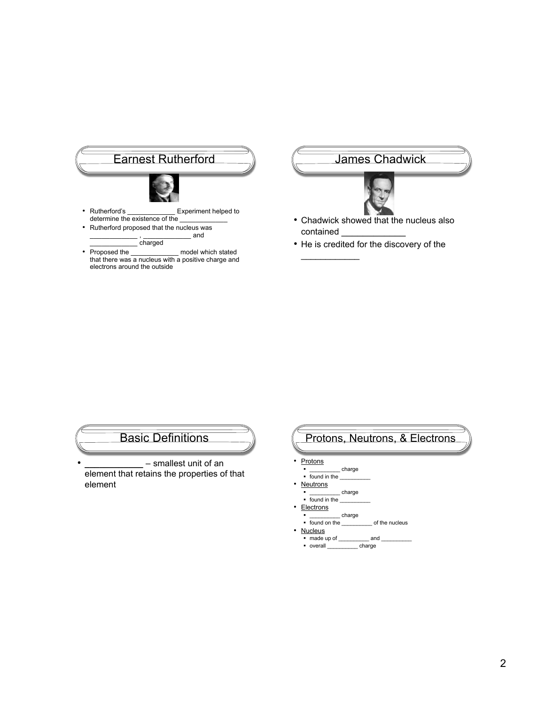

\_\_\_\_\_\_\_\_\_\_\_\_ , \_\_\_\_\_\_\_\_\_\_\_\_ and charged

• Proposed the model which stated that there was a nucleus with a positive charge and electrons around the outside

James Chadwick



- Chadwick showed that the nucleus also contained
- He is credited for the discovery of the

 $\mathcal{L}$  . The set of the set of the set of the set of the set of the set of the set of the set of the set of the set of the set of the set of the set of the set of the set of the set of the set of the set of the set of t

Basic Definitions

• **\_\_\_\_\_\_\_\_\_\_\_\_** – smallest unit of an element that retains the properties of that element

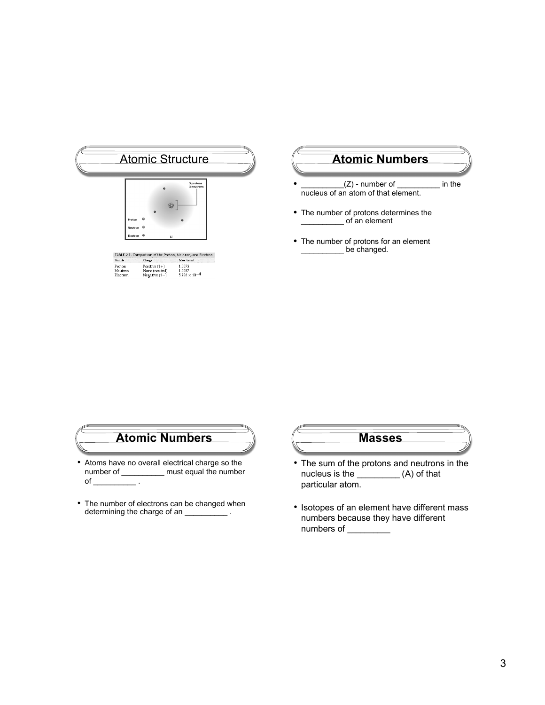|                    | $\circ$                   | 3 protons<br>3 neutrons                                     |
|--------------------|---------------------------|-------------------------------------------------------------|
|                    | 8<br>$\Omega$             |                                                             |
| Proton             |                           |                                                             |
| Neutron            |                           |                                                             |
| Electron           | $\circ$<br>u              |                                                             |
|                    |                           | TABLE.2.1 Comparison of the Proton, Neutron, and Electron - |
| Particle<br>Proton | Charge<br>Positive $(1+)$ | Mass (arra)<br>1.0073                                       |
| Neutron            | None (neutral)            | 1.0087                                                      |
| Electron           | Negative $(1-)$           | $5.486 \times 10^{-4}$                                      |

# **Atomic Numbers**

- $(Q)$  number of \_\_\_\_\_\_\_\_\_\_ in the nucleus of an atom of that element.
- The number of protons determines the \_\_\_\_\_\_\_\_\_\_ of an element
- The number of protons for an element \_\_\_\_\_\_\_\_\_\_\_\_ be changed.



- Atoms have no overall electrical charge so the number of \_\_\_\_\_\_\_\_\_\_ must equal the number of  $\begin{array}{ccc} \hline \end{array}$  .
- The number of electrons can be changed when determining the charge of an \_\_\_\_\_\_\_\_\_\_\_.



- The sum of the protons and neutrons in the nucleus is the \_\_\_\_\_\_\_\_\_\_(A) of that particular atom.
- Isotopes of an element have different mass numbers because they have different numbers of \_\_\_\_\_\_\_\_\_\_\_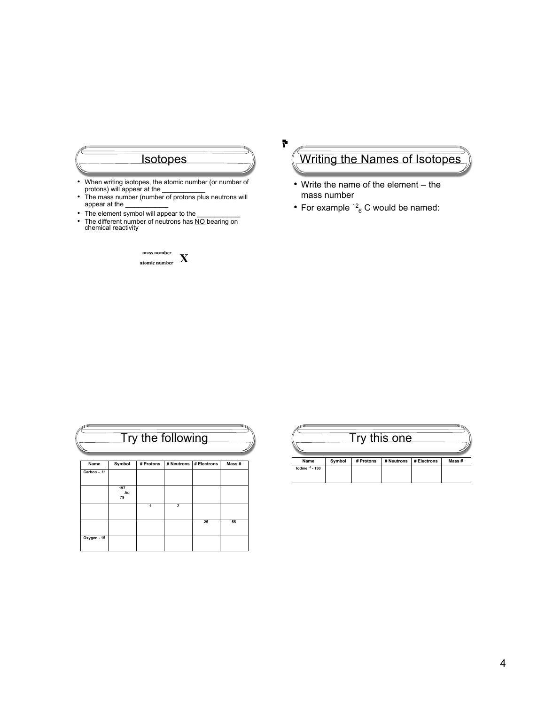

- protons) will appear at the \_\_\_\_\_\_\_\_\_\_
- The mass number (number of protons plus neutrons will appear at the \_\_\_\_\_\_\_\_\_\_
- The element symbol will appear to the **will as a set of the will also the**
- The different number of neutrons has NO bearing on chemical reactivity



# Writing the Names of Isotopes

• Write the name of the element – the mass number

Ł

• For example  $12^6$  C would be named:

| Try the following |                 |           |                |             |       |  |  |
|-------------------|-----------------|-----------|----------------|-------------|-------|--|--|
| Name              | Symbol          | # Protons | # Neutrons     | # Electrons | Mass# |  |  |
| Carbon - 11       |                 |           |                |             |       |  |  |
|                   | 197<br>Au<br>79 |           |                |             |       |  |  |
|                   |                 | 1         | $\overline{2}$ |             |       |  |  |
|                   |                 |           |                | 25          | 55    |  |  |
| Oxygen - 15       |                 |           |                |             |       |  |  |

|                 |        |           | ry this one |             |        |
|-----------------|--------|-----------|-------------|-------------|--------|
| Name            | Symbol | # Protons | # Neutrons  | # Electrons | Mass # |
| lodine -1 - 130 |        |           |             |             |        |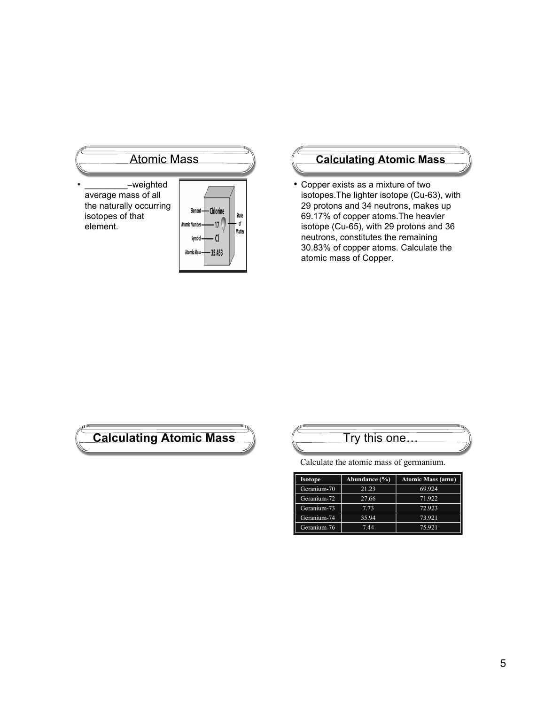

# **Calculating Atomic Mass**

• Copper exists as a mixture of two isotopes.The lighter isotope (Cu-63), with 29 protons and 34 neutrons, makes up 69.17% of copper atoms.The heavier isotope (Cu-65), with 29 protons and 36 neutrons, constitutes the remaining 30.83% of copper atoms. Calculate the atomic mass of Copper.

# **Calculating Atomic Mass**  $\left(\begin{array}{ccc} \hline \hline \hline \hline \hline \hline \end{array}\right)$  Try this one.

Calculate the atomic mass of germanium.

| <b>Isotope</b> | Abundance (%) | <b>Atomic Mass (amu)</b> |
|----------------|---------------|--------------------------|
| Geranium-70    | 21.23         | 69.924                   |
| Geranium-72    | 27.66         | 71.922                   |
| Geranium-73    | 7.73          | 72.923                   |
| Geranium-74    | 35.94         | 73.921                   |
| Geranium-76    | 7.44          | 75.921                   |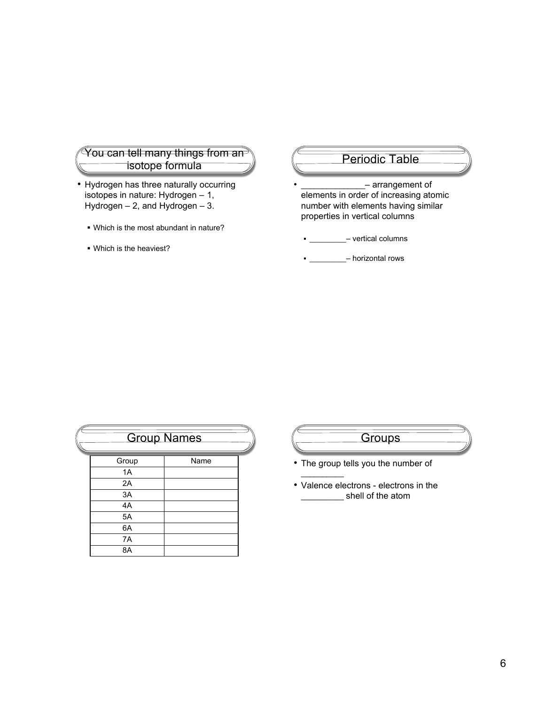#### You can tell many things from an isotope formula

- Hydrogen has three naturally occurring isotopes in nature: Hydrogen – 1, Hydrogen  $-2$ , and Hydrogen  $-3$ .
	- Which is the most abundant in nature?
	- Which is the heaviest?

#### Periodic Table

- arrangement of elements in order of increasing atomic number with elements having similar properties in vertical columns

 $\blacksquare$  - vertical columns

- **\_\_\_\_\_\_\_\_\_** – horizontal rows

|       | <b>Group Names</b> |  |
|-------|--------------------|--|
| Group | Name               |  |
| 1A    |                    |  |
| 2A    |                    |  |
| 3A    |                    |  |
| 4A    |                    |  |
| 5A    |                    |  |
| 6A    |                    |  |
| 7A    |                    |  |
| 8A    |                    |  |

### **Groups**

• The group tells you the number of

 $\overline{\phantom{a}}$ 

• Valence electrons - electrons in the \_\_\_\_\_\_\_\_\_\_ shell of the atom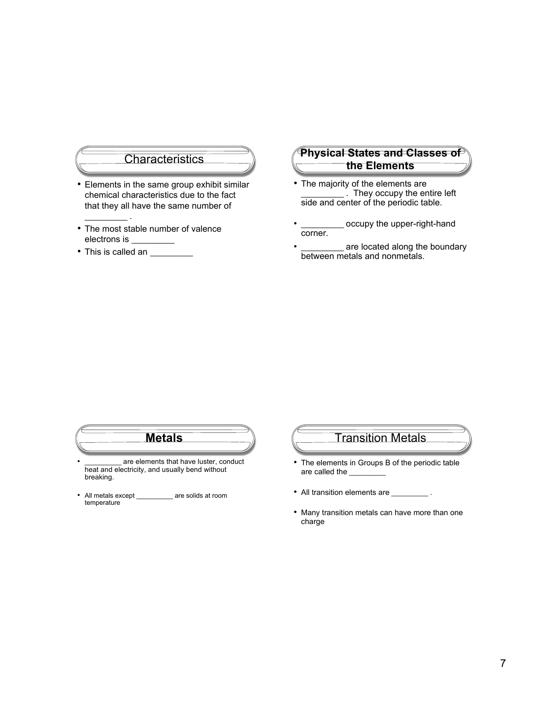#### **Characteristics**

- Elements in the same group exhibit similar chemical characteristics due to the fact that they all have the same number of
- The most stable number of valence electrons is \_
- This is called an \_\_\_\_\_\_\_\_\_

 $\mathcal{L}_\text{max}$  .

#### **Physical States and Classes of the Elements**

- The majority of the elements are \_\_\_\_\_\_\_\_\_\_ . They occupy the entire left side and center of the periodic table.
- \_ occupy the upper-right-hand corner.
- \_\_\_\_\_\_\_\_\_\_\_ are located along the boundary between metals and nonmetals.

# **Metals**

- are elements that have luster, conduct heat and electricity, and usually bend without breaking.
- All metals except \_\_\_\_\_\_\_\_\_\_ are solids at room temperature

### Transition Metals

- The elements in Groups B of the periodic table are called the
- All transition elements are \_\_\_\_\_\_\_\_\_\_\_.
- Many transition metals can have more than one charge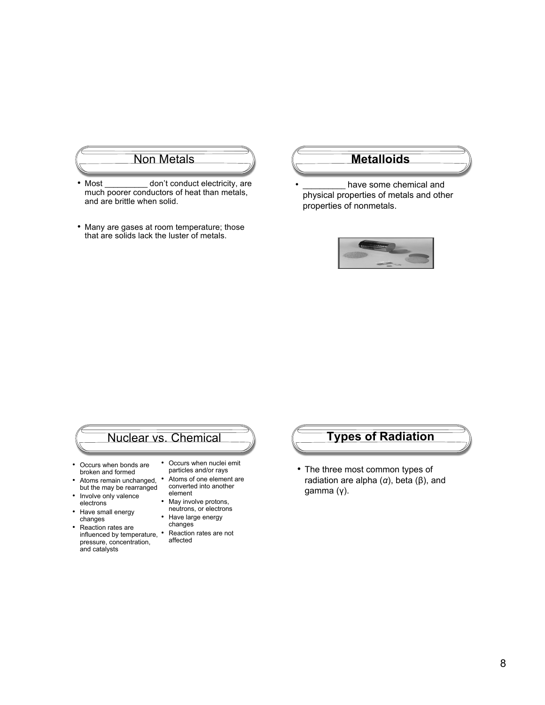# **Non Metals Metalloids**

- Most don't conduct electricity, are much poorer conductors of heat than metals, and are brittle when solid.
- Many are gases at room temperature; those that are solids lack the luster of metals.

have some chemical and physical properties of metals and other properties of nonmetals.



# Nuclear vs. Chemical

- Occurs when bonds are broken and formed
- Atoms remain unchanged, but the may be rearranged • Involve only valence
- electrons
- Have small energy changes
- Reaction rates are influenced by temperature, pressure, concentration, and catalysts
- Occurs when nuclei emit particles and/or rays
- Atoms of one element are converted into another element
- May involve protons, neutrons, or electrons
- Have large energy changes
	- Reaction rates are not affected

### **Types of Radiation**

• The three most common types of radiation are alpha (*α*), beta (β), and gamma (γ).